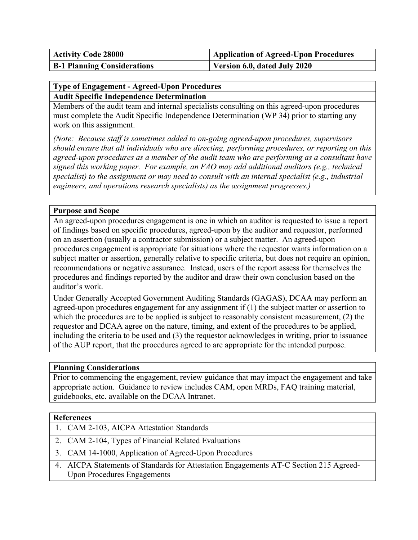| <b>Activity Code 28000</b>         | <b>Application of Agreed-Upon Procedures</b> |
|------------------------------------|----------------------------------------------|
| <b>B-1 Planning Considerations</b> | Version 6.0, dated July 2020                 |

## **Type of Engagement - Agreed-Upon Procedures Audit Specific Independence Determination**

Members of the audit team and internal specialists consulting on this agreed-upon procedures must complete the Audit Specific Independence Determination (WP 34) prior to starting any work on this assignment.

*(Note: Because staff is sometimes added to on-going agreed-upon procedures, supervisors should ensure that all individuals who are directing, performing procedures, or reporting on this agreed-upon procedures as a member of the audit team who are performing as a consultant have signed this working paper. For example, an FAO may add additional auditors (e.g., technical specialist) to the assignment or may need to consult with an internal specialist (e.g., industrial engineers, and operations research specialists) as the assignment progresses.)* 

## **Purpose and Scope**

An agreed-upon procedures engagement is one in which an auditor is requested to issue a report of findings based on specific procedures, agreed-upon by the auditor and requestor, performed on an assertion (usually a contractor submission) or a subject matter. An agreed-upon procedures engagement is appropriate for situations where the requestor wants information on a subject matter or assertion, generally relative to specific criteria, but does not require an opinion, recommendations or negative assurance. Instead, users of the report assess for themselves the procedures and findings reported by the auditor and draw their own conclusion based on the auditor's work.

Under Generally Accepted Government Auditing Standards (GAGAS), DCAA may perform an agreed-upon procedures engagement for any assignment if (1) the subject matter or assertion to which the procedures are to be applied is subject to reasonably consistent measurement, (2) the requestor and DCAA agree on the nature, timing, and extent of the procedures to be applied, including the criteria to be used and (3) the requestor acknowledges in writing, prior to issuance of the AUP report, that the procedures agreed to are appropriate for the intended purpose.

## **Planning Considerations**

Prior to commencing the engagement, review guidance that may impact the engagement and take appropriate action. Guidance to review includes CAM, open MRDs, FAQ training material, guidebooks, etc. available on the DCAA Intranet.

## **References**

- 1. CAM 2-103, AICPA Attestation Standards
- 2. CAM 2-104, Types of Financial Related Evaluations
- 3. CAM 14-1000, Application of Agreed-Upon Procedures
- 4. AICPA Statements of Standards for Attestation Engagements AT-C Section 215 Agreed-Upon Procedures Engagements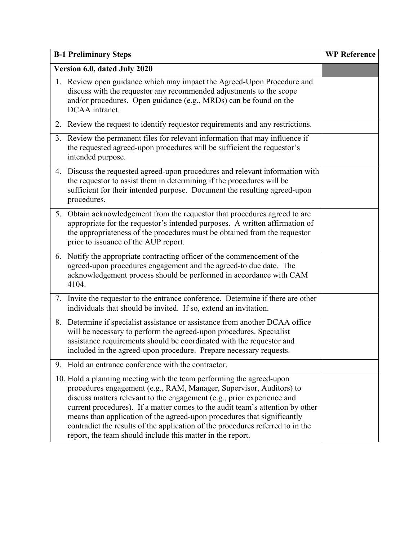|                              | <b>B-1 Preliminary Steps</b>                                                                                                                                                                                                                                                                                                                                                                                                                                                                                                      | <b>WP Reference</b> |
|------------------------------|-----------------------------------------------------------------------------------------------------------------------------------------------------------------------------------------------------------------------------------------------------------------------------------------------------------------------------------------------------------------------------------------------------------------------------------------------------------------------------------------------------------------------------------|---------------------|
| Version 6.0, dated July 2020 |                                                                                                                                                                                                                                                                                                                                                                                                                                                                                                                                   |                     |
|                              | 1. Review open guidance which may impact the Agreed-Upon Procedure and<br>discuss with the requestor any recommended adjustments to the scope<br>and/or procedures. Open guidance (e.g., MRDs) can be found on the<br>DCAA intranet.                                                                                                                                                                                                                                                                                              |                     |
| 2.                           | Review the request to identify requestor requirements and any restrictions.                                                                                                                                                                                                                                                                                                                                                                                                                                                       |                     |
| 3.                           | Review the permanent files for relevant information that may influence if<br>the requested agreed-upon procedures will be sufficient the requestor's<br>intended purpose.                                                                                                                                                                                                                                                                                                                                                         |                     |
|                              | 4. Discuss the requested agreed-upon procedures and relevant information with<br>the requestor to assist them in determining if the procedures will be<br>sufficient for their intended purpose. Document the resulting agreed-upon<br>procedures.                                                                                                                                                                                                                                                                                |                     |
|                              | 5. Obtain acknowledgement from the requestor that procedures agreed to are<br>appropriate for the requestor's intended purposes. A written affirmation of<br>the appropriateness of the procedures must be obtained from the requestor<br>prior to issuance of the AUP report.                                                                                                                                                                                                                                                    |                     |
| 6.                           | Notify the appropriate contracting officer of the commencement of the<br>agreed-upon procedures engagement and the agreed-to due date. The<br>acknowledgement process should be performed in accordance with CAM<br>4104.                                                                                                                                                                                                                                                                                                         |                     |
| 7.                           | Invite the requestor to the entrance conference. Determine if there are other<br>individuals that should be invited. If so, extend an invitation.                                                                                                                                                                                                                                                                                                                                                                                 |                     |
| 8.                           | Determine if specialist assistance or assistance from another DCAA office<br>will be necessary to perform the agreed-upon procedures. Specialist<br>assistance requirements should be coordinated with the requestor and<br>included in the agreed-upon procedure. Prepare necessary requests.                                                                                                                                                                                                                                    |                     |
|                              | 9. Hold an entrance conference with the contractor.                                                                                                                                                                                                                                                                                                                                                                                                                                                                               |                     |
|                              | 10. Hold a planning meeting with the team performing the agreed-upon<br>procedures engagement (e.g., RAM, Manager, Supervisor, Auditors) to<br>discuss matters relevant to the engagement (e.g., prior experience and<br>current procedures). If a matter comes to the audit team's attention by other<br>means than application of the agreed-upon procedures that significantly<br>contradict the results of the application of the procedures referred to in the<br>report, the team should include this matter in the report. |                     |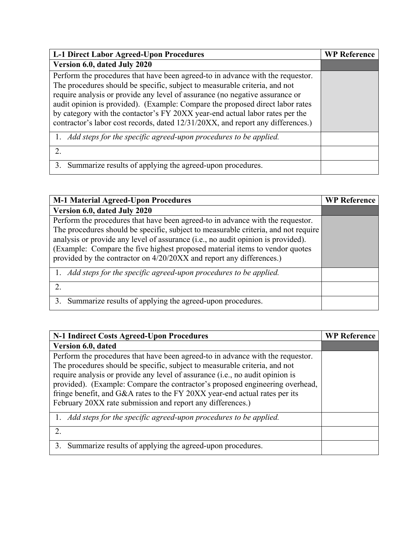| <b>L-1 Direct Labor Agreed-Upon Procedures</b>                                                                                                                                                                                                                                                                                                                                                                                                                                                   | <b>WP Reference</b> |
|--------------------------------------------------------------------------------------------------------------------------------------------------------------------------------------------------------------------------------------------------------------------------------------------------------------------------------------------------------------------------------------------------------------------------------------------------------------------------------------------------|---------------------|
| Version 6.0, dated July 2020                                                                                                                                                                                                                                                                                                                                                                                                                                                                     |                     |
| Perform the procedures that have been agreed-to in advance with the requestor.<br>The procedures should be specific, subject to measurable criteria, and not<br>require analysis or provide any level of assurance (no negative assurance or<br>audit opinion is provided). (Example: Compare the proposed direct labor rates<br>by category with the contactor's FY 20XX year-end actual labor rates per the<br>contractor's labor cost records, dated 12/31/20XX, and report any differences.) |                     |
| 1. Add steps for the specific agreed-upon procedures to be applied.                                                                                                                                                                                                                                                                                                                                                                                                                              |                     |
| 2.                                                                                                                                                                                                                                                                                                                                                                                                                                                                                               |                     |
| 3. Summarize results of applying the agreed-upon procedures.                                                                                                                                                                                                                                                                                                                                                                                                                                     |                     |

| <b>M-1 Material Agreed-Upon Procedures</b>                                                                                                                                                                                                                                                                                                                                                                      | <b>WP Reference</b> |
|-----------------------------------------------------------------------------------------------------------------------------------------------------------------------------------------------------------------------------------------------------------------------------------------------------------------------------------------------------------------------------------------------------------------|---------------------|
| Version 6.0, dated July 2020                                                                                                                                                                                                                                                                                                                                                                                    |                     |
| Perform the procedures that have been agreed-to in advance with the requestor.<br>The procedures should be specific, subject to measurable criteria, and not require<br>analysis or provide any level of assurance (i.e., no audit opinion is provided).<br>(Example: Compare the five highest proposed material items to vendor quotes<br>provided by the contractor on 4/20/20XX and report any differences.) |                     |
| 1. Add steps for the specific agreed-upon procedures to be applied.                                                                                                                                                                                                                                                                                                                                             |                     |
|                                                                                                                                                                                                                                                                                                                                                                                                                 |                     |
| Summarize results of applying the agreed-upon procedures.<br>3.                                                                                                                                                                                                                                                                                                                                                 |                     |

| N-1 Indirect Costs Agreed-Upon Procedures                                                                                                                                                                                                                                                                                                                                                                   | <b>WP Reference</b> |
|-------------------------------------------------------------------------------------------------------------------------------------------------------------------------------------------------------------------------------------------------------------------------------------------------------------------------------------------------------------------------------------------------------------|---------------------|
| Version 6.0, dated                                                                                                                                                                                                                                                                                                                                                                                          |                     |
| Perform the procedures that have been agreed-to in advance with the requestor.<br>The procedures should be specific, subject to measurable criteria, and not<br>require analysis or provide any level of assurance (i.e., no audit opinion is<br>provided). (Example: Compare the contractor's proposed engineering overhead,<br>fringe benefit, and G&A rates to the FY 20XX year-end actual rates per its |                     |
| February 20XX rate submission and report any differences.)                                                                                                                                                                                                                                                                                                                                                  |                     |
| 1. Add steps for the specific agreed-upon procedures to be applied.                                                                                                                                                                                                                                                                                                                                         |                     |
|                                                                                                                                                                                                                                                                                                                                                                                                             |                     |
| Summarize results of applying the agreed-upon procedures.                                                                                                                                                                                                                                                                                                                                                   |                     |